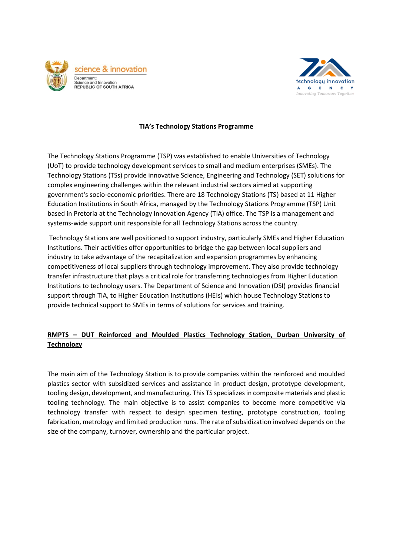



## **TIA's Technology Stations Programme**

The Technology Stations Programme (TSP) was established to enable Universities of Technology (UoT) to provide technology development services to small and medium enterprises (SMEs). The Technology Stations (TSs) provide innovative Science, Engineering and Technology (SET) solutions for complex engineering challenges within the relevant industrial sectors aimed at supporting government's socio-economic priorities. There are 18 Technology Stations (TS) based at 11 Higher Education Institutions in South Africa, managed by the Technology Stations Programme (TSP) Unit based in Pretoria at the Technology Innovation Agency (TIA) office. The TSP is a management and systems-wide support unit responsible for all Technology Stations across the country.

Technology Stations are well positioned to support industry, particularly SMEs and Higher Education Institutions. Their activities offer opportunities to bridge the gap between local suppliers and industry to take advantage of the recapitalization and expansion programmes by enhancing competitiveness of local suppliers through technology improvement. They also provide technology transfer infrastructure that plays a critical role for transferring technologies from Higher Education Institutions to technology users. The Department of Science and Innovation (DSI) provides financial support through TIA, to Higher Education Institutions (HEIs) which house Technology Stations to provide technical support to SMEs in terms of solutions for services and training.

## **RMPTS – DUT Reinforced and Moulded Plastics Technology Station, Durban University of Technology**

The main aim of the Technology Station is to provide companies within the reinforced and moulded plastics sector with subsidized services and assistance in product design, prototype development, tooling design, development, and manufacturing. This TS specializes in composite materials and plastic tooling technology. The main objective is to assist companies to become more competitive via technology transfer with respect to design specimen testing, prototype construction, tooling fabrication, metrology and limited production runs. The rate of subsidization involved depends on the size of the company, turnover, ownership and the particular project.